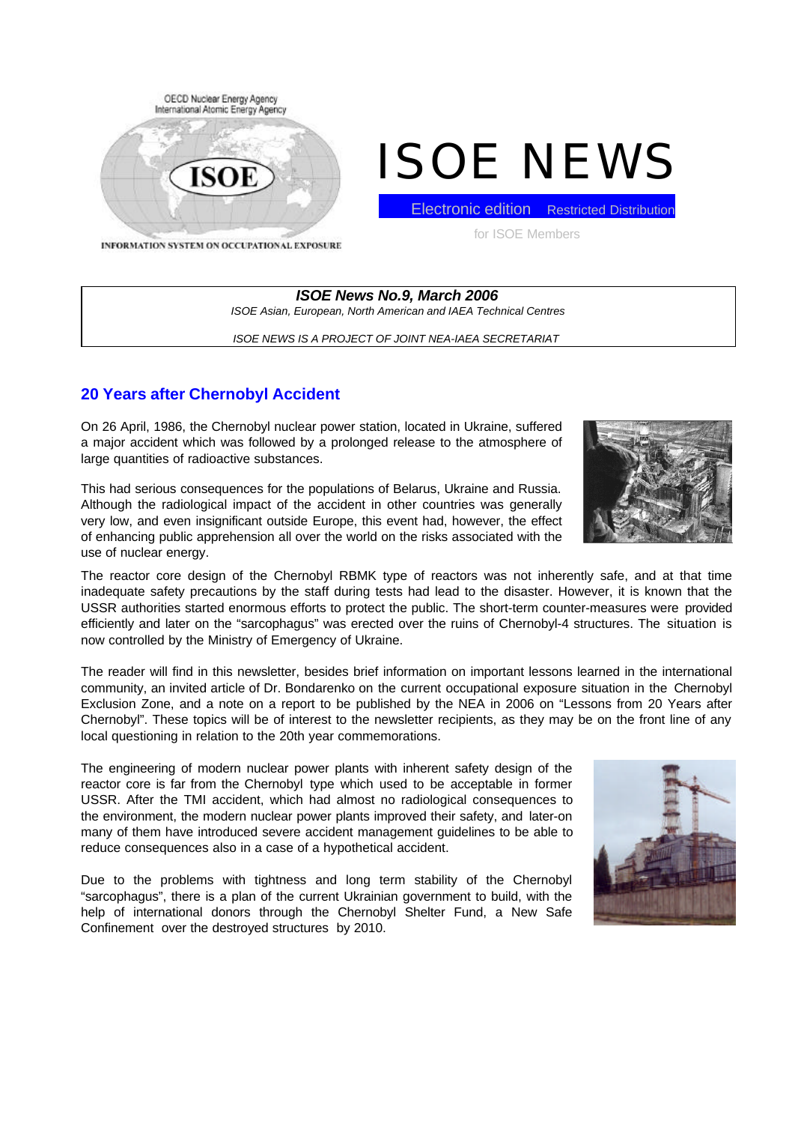

# ISOE NEWS

Electronic edition Restricted Distribution

for ISOE Members

INFORMATION SYSTEM ON OCCUPATIONAL EXPOSURE

*ISOE News No.9, March 2006 ISOE Asian, European, North American and IAEA Technical Centres*

*ISOE NEWS IS A PROJECT OF JOINT NEA-IAEA SECRETARIAT*

# **20 Years after Chernobyl Accident**

On 26 April, 1986, the Chernobyl nuclear power station, located in Ukraine, suffered a major accident which was followed by a prolonged release to the atmosphere of large quantities of radioactive substances.

This had serious consequences for the populations of Belarus, Ukraine and Russia. Although the radiological impact of the accident in other countries was generally very low, and even insignificant outside Europe, this event had, however, the effect of enhancing public apprehension all over the world on the risks associated with the use of nuclear energy.

The reactor core design of the Chernobyl RBMK type of reactors was not inherently safe, and at that time inadequate safety precautions by the staff during tests had lead to the disaster. However, it is known that the USSR authorities started enormous efforts to protect the public. The short-term counter-measures were provided efficiently and later on the "sarcophagus" was erected over the ruins of Chernobyl-4 structures. The situation is now controlled by the Ministry of Emergency of Ukraine.

The reader will find in this newsletter, besides brief information on important lessons learned in the international community, an invited article of Dr. Bondarenko on the current occupational exposure situation in the Chernobyl Exclusion Zone, and a note on a report to be published by the NEA in 2006 on "Lessons from 20 Years after Chernobyl". These topics will be of interest to the newsletter recipients, as they may be on the front line of any local questioning in relation to the 20th year commemorations.

The engineering of modern nuclear power plants with inherent safety design of the reactor core is far from the Chernobyl type which used to be acceptable in former USSR. After the TMI accident, which had almost no radiological consequences to the environment, the modern nuclear power plants improved their safety, and later-on many of them have introduced severe accident management guidelines to be able to reduce consequences also in a case of a hypothetical accident.

Due to the problems with tightness and long term stability of the Chernobyl "sarcophagus", there is a plan of the current Ukrainian government to build, with the help of international donors through the Chernobyl Shelter Fund, a New Safe Confinement over the destroyed structures by 2010.



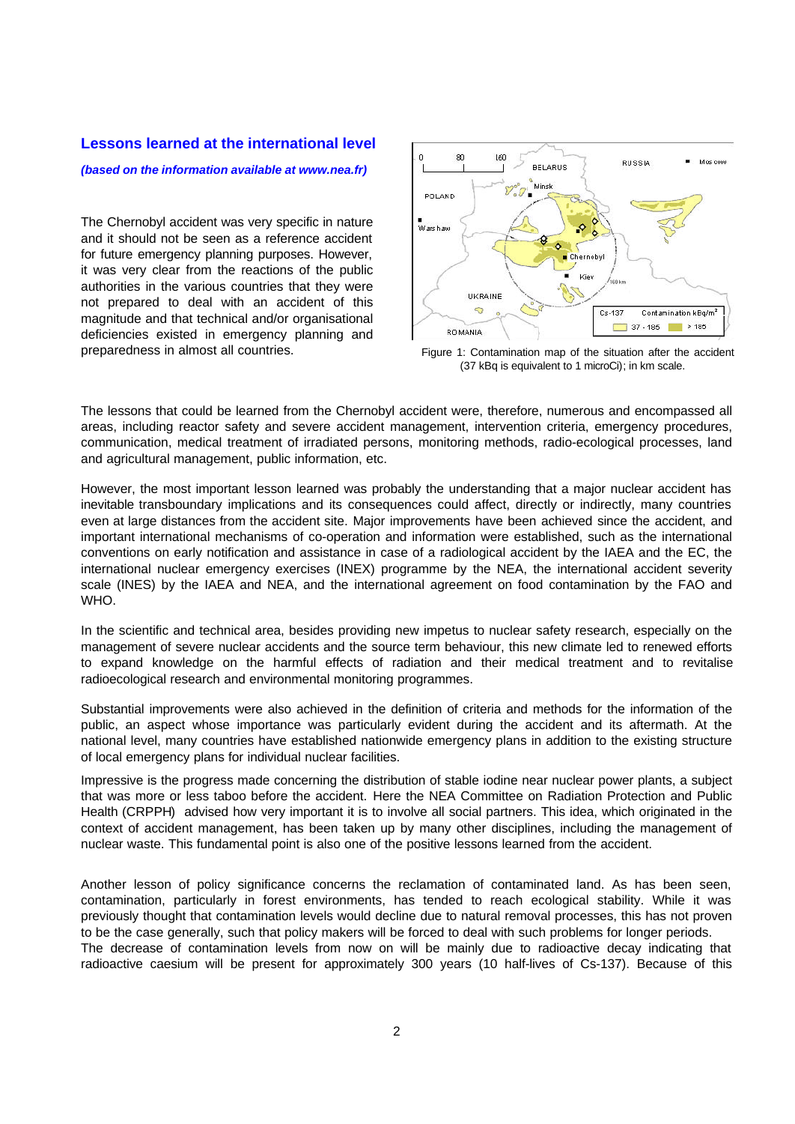### **Lessons learned at the international level**

#### *(based on the information available at www.nea.fr)*

The Chernobyl accident was very specific in nature and it should not be seen as a reference accident for future emergency planning purposes. However, it was very clear from the reactions of the public authorities in the various countries that they were not prepared to deal with an accident of this magnitude and that technical and/or organisational deficiencies existed in emergency planning and preparedness in almost all countries.



 Figure 1: Contamination map of the situation after the accident (37 kBq is equivalent to 1 microCi); in km scale.

The lessons that could be learned from the Chernobyl accident were, therefore, numerous and encompassed all areas, including reactor safety and severe accident management, intervention criteria, emergency procedures, communication, medical treatment of irradiated persons, monitoring methods, radio-ecological processes, land and agricultural management, public information, etc.

However, the most important lesson learned was probably the understanding that a major nuclear accident has inevitable transboundary implications and its consequences could affect, directly or indirectly, many countries even at large distances from the accident site. Major improvements have been achieved since the accident, and important international mechanisms of co-operation and information were established, such as the international conventions on early notification and assistance in case of a radiological accident by the IAEA and the EC, the international nuclear emergency exercises (INEX) programme by the NEA, the international accident severity scale (INES) by the IAEA and NEA, and the international agreement on food contamination by the FAO and WHO.

In the scientific and technical area, besides providing new impetus to nuclear safety research, especially on the management of severe nuclear accidents and the source term behaviour, this new climate led to renewed efforts to expand knowledge on the harmful effects of radiation and their medical treatment and to revitalise radioecological research and environmental monitoring programmes.

Substantial improvements were also achieved in the definition of criteria and methods for the information of the public, an aspect whose importance was particularly evident during the accident and its aftermath. At the national level, many countries have established nationwide emergency plans in addition to the existing structure of local emergency plans for individual nuclear facilities.

Impressive is the progress made concerning the distribution of stable iodine near nuclear power plants, a subject that was more or less taboo before the accident. Here the NEA Committee on Radiation Protection and Public Health (CRPPH) advised how very important it is to involve all social partners. This idea, which originated in the context of accident management, has been taken up by many other disciplines, including the management of nuclear waste. This fundamental point is also one of the positive lessons learned from the accident.

Another lesson of policy significance concerns the reclamation of contaminated land. As has been seen, contamination, particularly in forest environments, has tended to reach ecological stability. While it was previously thought that contamination levels would decline due to natural removal processes, this has not proven to be the case generally, such that policy makers will be forced to deal with such problems for longer periods. The decrease of contamination levels from now on will be mainly due to radioactive decay indicating that radioactive caesium will be present for approximately 300 years (10 half-lives of Cs-137). Because of this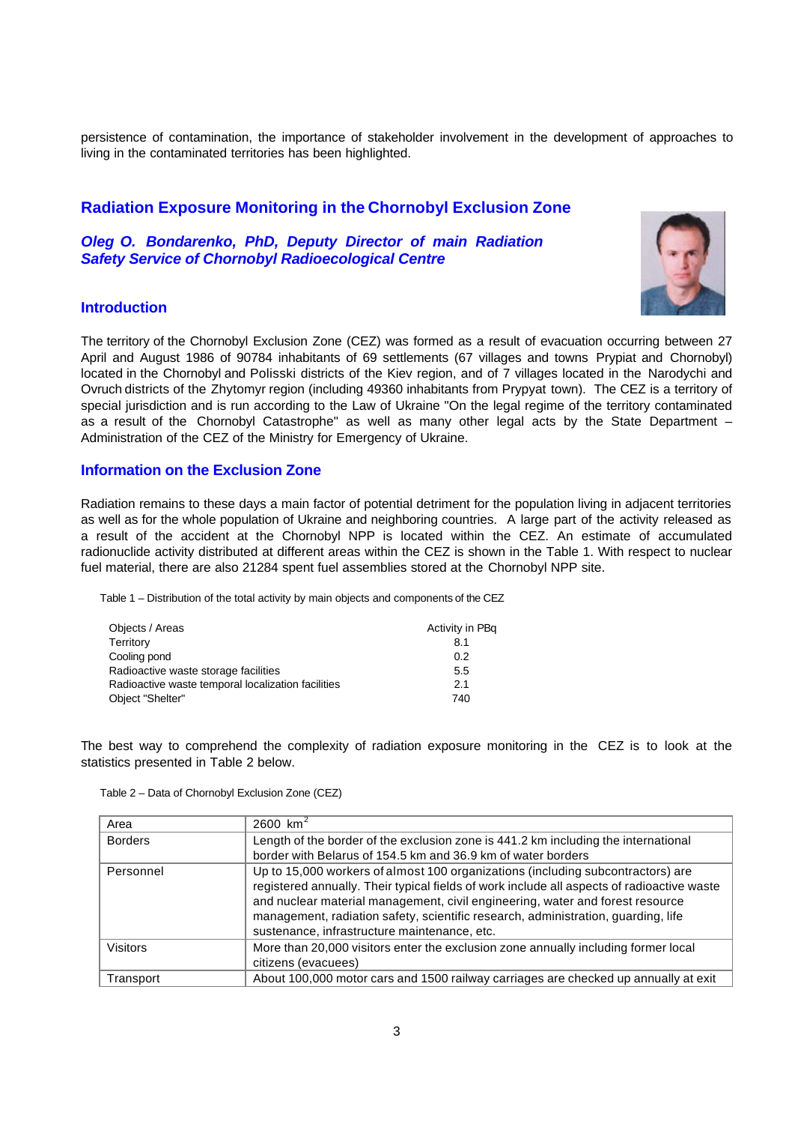persistence of contamination, the importance of stakeholder involvement in the development of approaches to living in the contaminated territories has been highlighted.

# **Radiation Exposure Monitoring in the Chornobyl Exclusion Zone**

*Oleg O. Bondarenko, PhD, Deputy Director of main Radiation Safety Service of Chornobyl Radioecological Centre*



### **Introduction**

The territory of the Chornobyl Exclusion Zone (CEZ) was formed as a result of evacuation occurring between 27 April and August 1986 of 90784 inhabitants of 69 settlements (67 villages and towns Prypiat and Chornobyl) located in the Chornobyl and Polisski districts of the Kiev region, and of 7 villages located in the Narodychi and Ovruch districts of the Zhytomyr region (including 49360 inhabitants from Prypyat town). The CEZ is a territory of special jurisdiction and is run according to the Law of Ukraine "On the legal regime of the territory contaminated as a result of the Chornobyl Catastrophe" as well as many other legal acts by the State Department – Administration of the CEZ of the Ministry for Emergency of Ukraine.

### **Information on the Exclusion Zone**

Radiation remains to these days a main factor of potential detriment for the population living in adjacent territories as well as for the whole population of Ukraine and neighboring countries. A large part of the activity released as a result of the accident at the Chornobyl NPP is located within the CEZ. An estimate of accumulated radionuclide activity distributed at different areas within the CEZ is shown in the Table 1. With respect to nuclear fuel material, there are also 21284 spent fuel assemblies stored at the Chornobyl NPP site.

Table 1 – Distribution of the total activity by main objects and components of the CEZ

| Objects / Areas                                    | Activity in PBq |
|----------------------------------------------------|-----------------|
| Territory                                          | 8.1             |
| Cooling pond                                       | 0.2             |
| Radioactive waste storage facilities               | 5.5             |
| Radioactive waste temporal localization facilities | 2.1             |
| Object "Shelter"                                   | 740             |

The best way to comprehend the complexity of radiation exposure monitoring in the CEZ is to look at the statistics presented in Table 2 below.

Table 2 – Data of Chornobyl Exclusion Zone (CEZ)

| Area            | 2600 $km^2$                                                                                |
|-----------------|--------------------------------------------------------------------------------------------|
| <b>Borders</b>  | Length of the border of the exclusion zone is 441.2 km including the international         |
|                 | border with Belarus of 154.5 km and 36.9 km of water borders                               |
| Personnel       | Up to 15,000 workers of almost 100 organizations (including subcontractors) are            |
|                 | registered annually. Their typical fields of work include all aspects of radioactive waste |
|                 | and nuclear material management, civil engineering, water and forest resource              |
|                 | management, radiation safety, scientific research, administration, guarding, life          |
|                 | sustenance, infrastructure maintenance, etc.                                               |
| <b>Visitors</b> | More than 20,000 visitors enter the exclusion zone annually including former local         |
|                 | citizens (evacuees)                                                                        |
| Transport       | About 100,000 motor cars and 1500 railway carriages are checked up annually at exit        |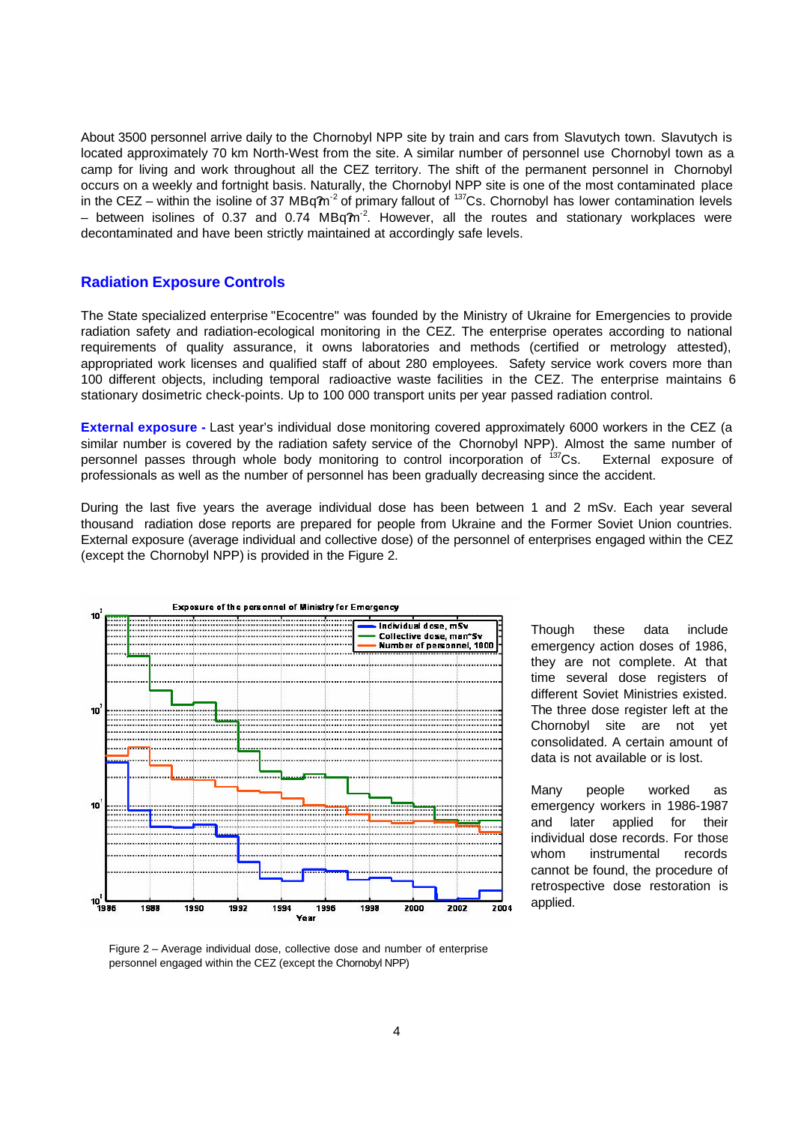About 3500 personnel arrive daily to the Chornobyl NPP site by train and cars from Slavutych town. Slavutych is located approximately 70 km North-West from the site. A similar number of personnel use Chornobyl town as a camp for living and work throughout all the CEZ territory. The shift of the permanent personnel in Chornobyl occurs on a weekly and fortnight basis. Naturally, the Chornobyl NPP site is one of the most contaminated place in the CEZ – within the isoline of 37 MBq $m^2$  of primary fallout of  $^{137}$ Cs. Chornobyl has lower contamination levels – between isolines of 0.37 and 0.74 MBq $m<sup>-2</sup>$ . However, all the routes and stationary workplaces were decontaminated and have been strictly maintained at accordingly safe levels.

#### **Radiation Exposure Controls**

The State specialized enterprise "Ecocentre" was founded by the Ministry of Ukraine for Emergencies to provide radiation safety and radiation-ecological monitoring in the CEZ. The enterprise operates according to national requirements of quality assurance, it owns laboratories and methods (certified or metrology attested), appropriated work licenses and qualified staff of about 280 employees. Safety service work covers more than 100 different objects, including temporal radioactive waste facilities in the CEZ. The enterprise maintains 6 stationary dosimetric check-points. Up to 100 000 transport units per year passed radiation control.

**External exposure -** Last year's individual dose monitoring covered approximately 6000 workers in the CEZ (a similar number is covered by the radiation safety service of the Chornobyl NPP). Almost the same number of personnel passes through whole body monitoring to control incorporation of <sup>137</sup>Cs. External exposure of professionals as well as the number of personnel has been gradually decreasing since the accident.

During the last five years the average individual dose has been between 1 and 2 mSv. Each year several thousand radiation dose reports are prepared for people from Ukraine and the Former Soviet Union countries. External exposure (average individual and collective dose) of the personnel of enterprises engaged within the CEZ (except the Chornobyl NPP) is provided in the Figure 2.



Though these data include emergency action doses of 1986, they are not complete. At that time several dose registers of different Soviet Ministries existed. The three dose register left at the Chornobyl site are not yet consolidated. A certain amount of data is not available or is lost.

Many people worked as emergency workers in 1986-1987 and later applied for their individual dose records. For those whom instrumental records cannot be found, the procedure of retrospective dose restoration is applied.

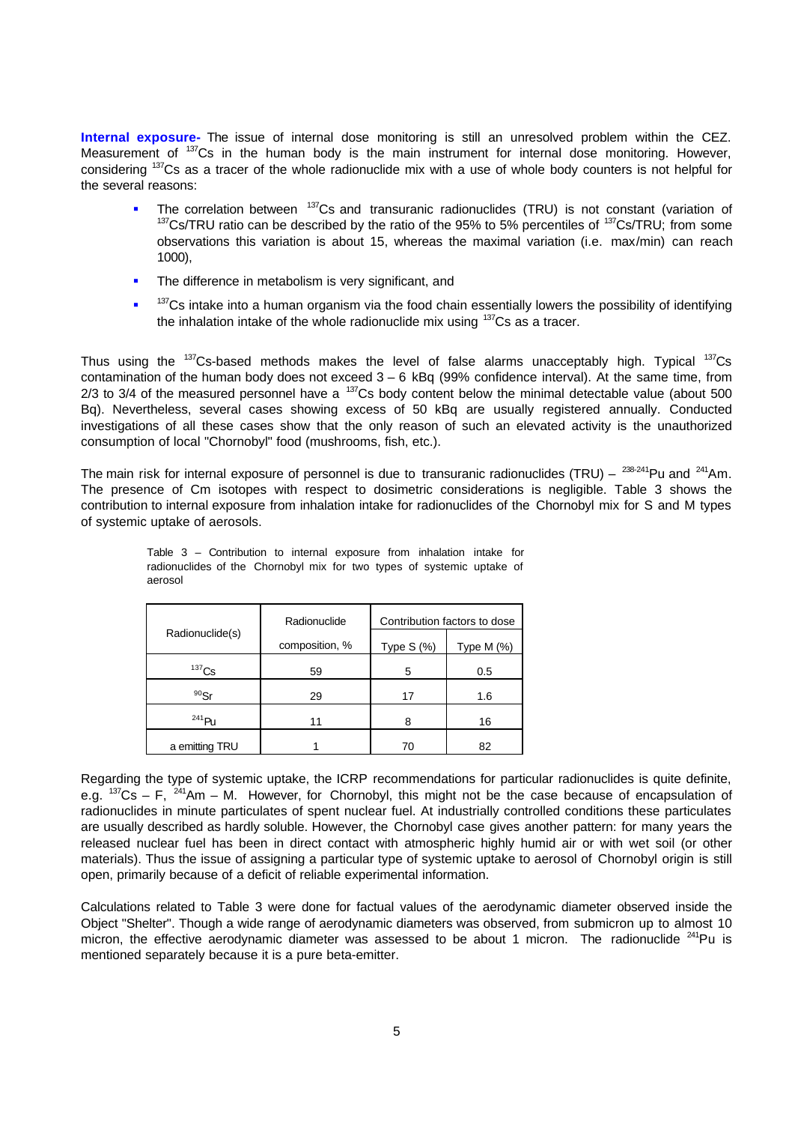**Internal exposure-** The issue of internal dose monitoring is still an unresolved problem within the CEZ. Measurement of  $137Cs$  in the human body is the main instrument for internal dose monitoring. However, considering <sup>137</sup>Cs as a tracer of the whole radionuclide mix with a use of whole body counters is not helpful for the several reasons:

- The correlation between <sup>137</sup>Cs and transuranic radionuclides (TRU) is not constant (variation of  $137$ Cs/TRU ratio can be described by the ratio of the 95% to 5% percentiles of  $137$ Cs/TRU; from some observations this variation is about 15, whereas the maximal variation (i.e. max/min) can reach 1000),
- The difference in metabolism is very significant, and
- ß  $137$ Cs intake into a human organism via the food chain essentially lowers the possibility of identifying the inhalation intake of the whole radionuclide mix using  $137$ Cs as a tracer.

Thus using the  $137$ Cs-based methods makes the level of false alarms unacceptably high. Typical  $137$ Cs contamination of the human body does not exceed  $3 - 6$  kBq (99% confidence interval). At the same time, from 2/3 to 3/4 of the measured personnel have a <sup>137</sup>Cs body content below the minimal detectable value (about 500 Bq). Nevertheless, several cases showing excess of 50 kBq are usually registered annually. Conducted investigations of all these cases show that the only reason of such an elevated activity is the unauthorized consumption of local "Chornobyl" food (mushrooms, fish, etc.).

The main risk for internal exposure of personnel is due to transuranic radionuclides (TRU) –  $^{238-241}$ Pu and  $^{241}$ Am. The presence of Cm isotopes with respect to dosimetric considerations is negligible. Table 3 shows the contribution to internal exposure from inhalation intake for radionuclides of the Chornobyl mix for S and M types of systemic uptake of aerosols.

|                 | Radionuclide   | Contribution factors to dose |              |
|-----------------|----------------|------------------------------|--------------|
| Radionuclide(s) | composition, % | Type $S(\%)$                 | Type M $(%)$ |
| $137$ Cs        | 59             | 5                            | 0.5          |
| $90$ Sr         | 29             | 17                           | 1.6          |
| $^{241}$ Pu     | 11             | 8                            | 16           |
| a emitting TRU  |                | 70                           | 82           |

Table 3 – Contribution to internal exposure from inhalation intake for radionuclides of the Chornobyl mix for two types of systemic uptake of aerosol

Regarding the type of systemic uptake, the ICRP recommendations for particular radionuclides is quite definite, e.g.  $137Cs - F$ ,  $241Am - M$ . However, for Chornobyl, this might not be the case because of encapsulation of radionuclides in minute particulates of spent nuclear fuel. At industrially controlled conditions these particulates are usually described as hardly soluble. However, the Chornobyl case gives another pattern: for many years the released nuclear fuel has been in direct contact with atmospheric highly humid air or with wet soil (or other materials). Thus the issue of assigning a particular type of systemic uptake to aerosol of Chornobyl origin is still open, primarily because of a deficit of reliable experimental information.

Calculations related to Table 3 were done for factual values of the aerodynamic diameter observed inside the Object "Shelter". Though a wide range of aerodynamic diameters was observed, from submicron up to almost 10 micron, the effective aerodynamic diameter was assessed to be about 1 micron. The radionuclide <sup>241</sup>Pu is mentioned separately because it is a pure beta-emitter.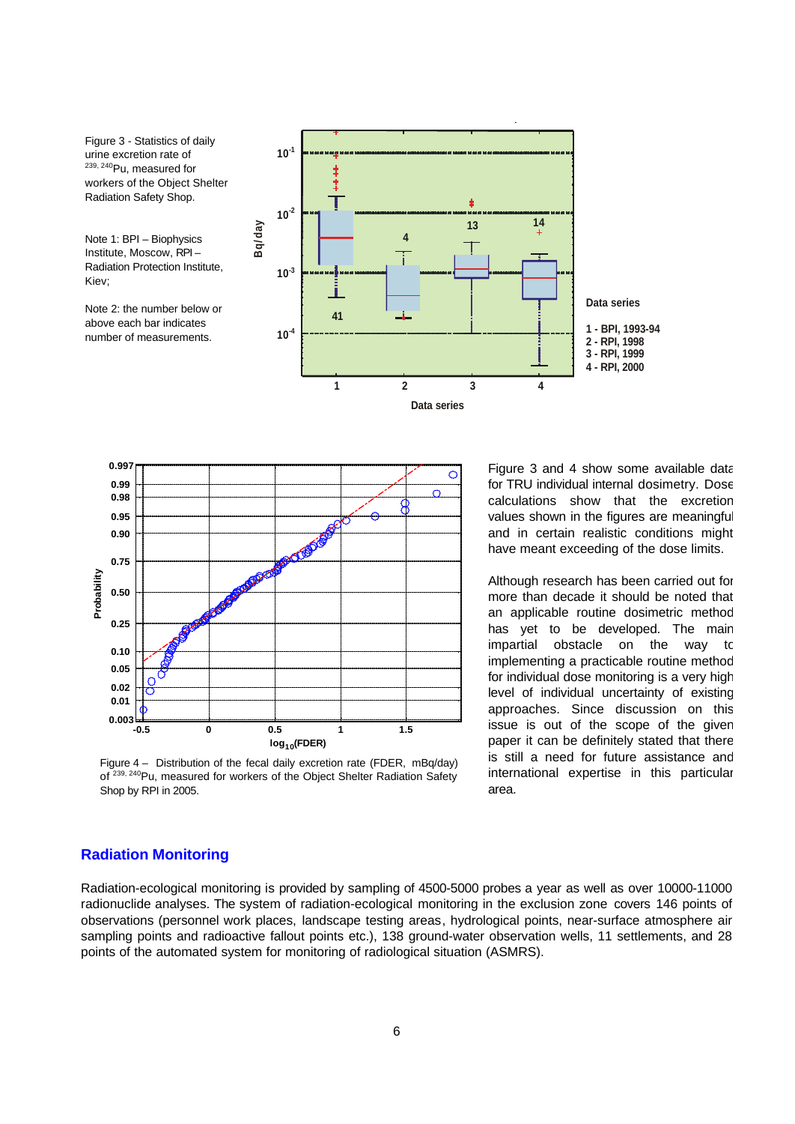Figure 3 - Statistics of daily urine excretion rate of 239, 240Pu, measured for workers of the Object Shelter Radiation Safety Shop.

Note 1: BPI – Biophysics Institute, Moscow, RPI – Radiation Protection Institute, Kiev;

Note 2: the number below or above each bar indicates number of measurements.



![](_page_5_Figure_4.jpeg)

Figure 4 – Distribution of the fecal daily excretion rate (FDER, mBq/day) of<sup>239, 240</sup>Pu, measured for workers of the Object Shelter Radiation Safety Shop by RPI in 2005.

Figure 3 and 4 show some available data for TRU individual internal dosimetry. Dose calculations show that the excretion values shown in the figures are meaningful and in certain realistic conditions might have meant exceeding of the dose limits.

Although research has been carried out for more than decade it should be noted that an applicable routine dosimetric method has yet to be developed. The main impartial obstacle on the way to implementing a practicable routine method for individual dose monitoring is a very high level of individual uncertainty of existing approaches. Since discussion on this issue is out of the scope of the given paper it can be definitely stated that there is still a need for future assistance and international expertise in this particular area.

# **Radiation Monitoring**

Radiation-ecological monitoring is provided by sampling of 4500-5000 probes a year as well as over 10000-11000 radionuclide analyses. The system of radiation-ecological monitoring in the exclusion zone covers 146 points of observations (personnel work places, landscape testing areas, hydrological points, near-surface atmosphere air sampling points and radioactive fallout points etc.), 138 ground-water observation wells, 11 settlements, and 28 points of the automated system for monitoring of radiological situation (ASMRS).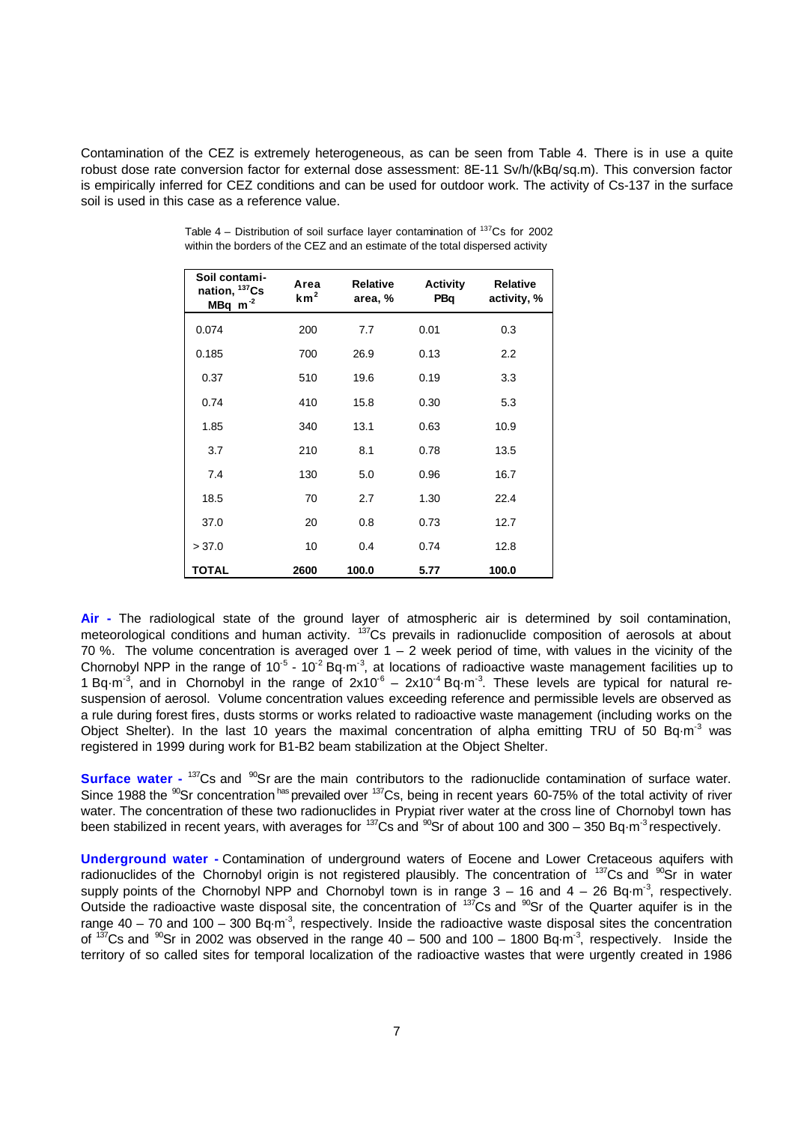Contamination of the CEZ is extremely heterogeneous, as can be seen from Table 4. There is in use a quite robust dose rate conversion factor for external dose assessment: 8E-11 Sv/h/(kBq/sq.m). This conversion factor is empirically inferred for CEZ conditions and can be used for outdoor work. The activity of Cs-137 in the surface soil is used in this case as a reference value.

| Soil contami-<br>nation, 137Cs<br>MBq $m^{-2}$ | Area<br>km <sup>2</sup> | <b>Relative</b><br>area, % | <b>Activity</b><br><b>PBq</b> | <b>Relative</b><br>activity, % |
|------------------------------------------------|-------------------------|----------------------------|-------------------------------|--------------------------------|
| 0.074                                          | 200                     | 7.7                        | 0.01                          | 0.3                            |
| 0.185                                          | 700                     | 26.9                       | 0.13                          | 2.2                            |
| 0.37                                           | 510                     | 19.6                       | 0.19                          | 3.3                            |
| 0.74                                           | 410                     | 15.8                       | 0.30                          | 5.3                            |
| 1.85                                           | 340                     | 13.1                       | 0.63                          | 10.9                           |
| 3.7                                            | 210                     | 8.1                        | 0.78                          | 13.5                           |
| 7.4                                            | 130                     | 5.0                        | 0.96                          | 16.7                           |
| 18.5                                           | 70                      | 2.7                        | 1.30                          | 22.4                           |
| 37.0                                           | 20                      | 0.8                        | 0.73                          | 12.7                           |
| > 37.0                                         | 10                      | 0.4                        | 0.74                          | 12.8                           |
| <b>TOTAL</b>                                   | 2600                    | 100.0                      | 5.77                          | 100.0                          |

Table  $4$  – Distribution of soil surface layer contamination of  $137Cs$  for 2002 within the borders of the CEZ and an estimate of the total dispersed activity

**Air -** The radiological state of the ground layer of atmospheric air is determined by soil contamination, meteorological conditions and human activity. <sup>137</sup>Cs prevails in radionuclide composition of aerosols at about 70 %. The volume concentration is averaged over  $1 - 2$  week period of time, with values in the vicinity of the Chornobyl NPP in the range of 10<sup>-5</sup> - 10<sup>-2</sup> Bq·m<sup>-3</sup>, at locations of radioactive waste management facilities up to 1 Bq·m<sup>-3</sup>, and in Chornobyl in the range of  $2x10^{-6} - 2x10^{-4}$  Bq·m<sup>-3</sup>. These levels are typical for natural resuspension of aerosol. Volume concentration values exceeding reference and permissible levels are observed as a rule during forest fires, dusts storms or works related to radioactive waste management (including works on the Object Shelter). In the last 10 years the maximal concentration of alpha emitting TRU of 50 Bq·m<sup>-3</sup> was registered in 1999 during work for B1-B2 beam stabilization at the Object Shelter.

Surface water - <sup>137</sup>Cs and <sup>90</sup>Sr are the main contributors to the radionuclide contamination of surface water. Since 1988 the <sup>90</sup>Sr concentration has prevailed over <sup>137</sup>Cs, being in recent years 60-75% of the total activity of river water. The concentration of these two radionuclides in Prypiat river water at the cross line of Chornobyl town has been stabilized in recent years, with averages for  $137$ Cs and  $90$ Sr of about 100 and 300 – 350 Bq·m<sup>-3</sup> respectively.

**Underground water -** Contamination of underground waters of Eocene and Lower Cretaceous aquifers with radionuclides of the Chornobyl origin is not registered plausibly. The concentration of  $137$ Cs and  $90$ Sr in water supply points of the Chornobyl NPP and Chornobyl town is in range  $3 - 16$  and  $4 - 26$  Bq·m<sup>-3</sup>, respectively. Outside the radioactive waste disposal site, the concentration of <sup>137</sup>Cs and <sup>90</sup>Sr of the Quarter aquifer is in the range  $40 - 70$  and  $100 - 300$  Bq·m<sup>-3</sup>, respectively. Inside the radioactive waste disposal sites the concentration of  $137$ Cs and  $90$ Sr in 2002 was observed in the range 40 – 500 and 100 – 1800 Bq·m<sup>-3</sup>, respectively. Inside the territory of so called sites for temporal localization of the radioactive wastes that were urgently created in 1986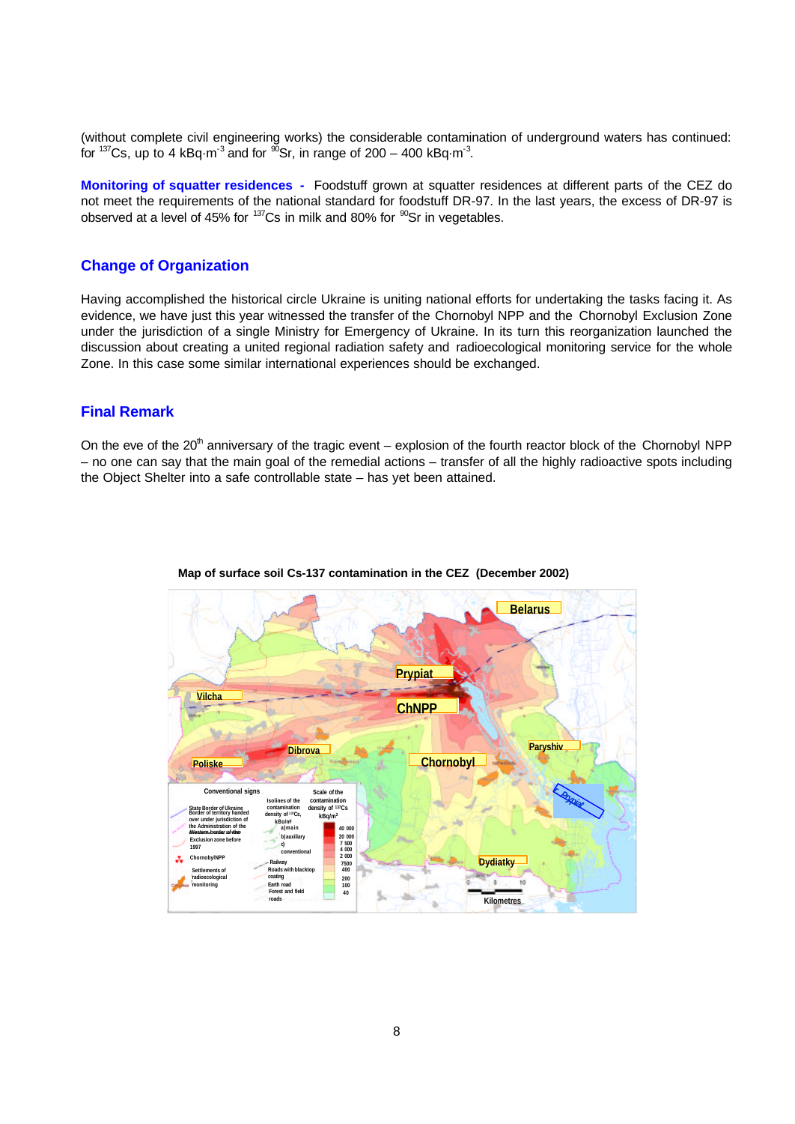(without complete civil engineering works) the considerable contamination of underground waters has continued: for  $^{137}$ Cs, up to 4 kBq $\cdot$ m $^{-3}$  and for  $^{90}$ Sr, in range of 200 – 400 kBq $\cdot$ m $^{-3}$ .

**Monitoring of squatter residences -** Foodstuff grown at squatter residences at different parts of the CEZ do not meet the requirements of the national standard for foodstuff DR-97. In the last years, the excess of DR-97 is observed at a level of 45% for  $137$ Cs in milk and 80% for  $90$ Sr in vegetables.

## **Change of Organization**

Having accomplished the historical circle Ukraine is uniting national efforts for undertaking the tasks facing it. As evidence, we have just this year witnessed the transfer of the Chornobyl NPP and the Chornobyl Exclusion Zone under the jurisdiction of a single Ministry for Emergency of Ukraine. In its turn this reorganization launched the discussion about creating a united regional radiation safety and radioecological monitoring service for the whole Zone. In this case some similar international experiences should be exchanged.

#### **Final Remark**

On the eve of the  $20<sup>th</sup>$  anniversary of the tragic event – explosion of the fourth reactor block of the Chornobyl NPP – no one can say that the main goal of the remedial actions – transfer of all the highly radioactive spots including the Object Shelter into a safe controllable state – has yet been attained.

![](_page_7_Figure_6.jpeg)

#### **Map of surface soil Cs-137 contamination in the CEZ (December 2002)**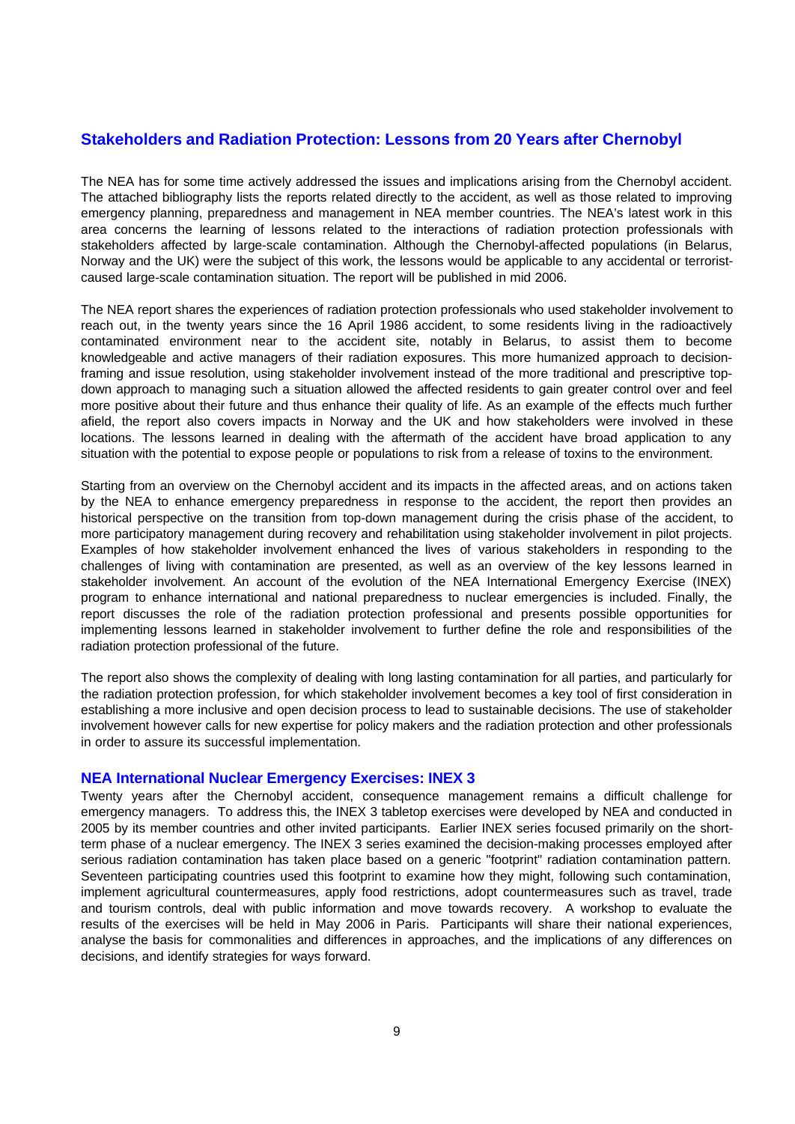# **Stakeholders and Radiation Protection: Lessons from 20 Years after Chernobyl**

The NEA has for some time actively addressed the issues and implications arising from the Chernobyl accident. The attached bibliography lists the reports related directly to the accident, as well as those related to improving emergency planning, preparedness and management in NEA member countries. The NEA's latest work in this area concerns the learning of lessons related to the interactions of radiation protection professionals with stakeholders affected by large-scale contamination. Although the Chernobyl-affected populations (in Belarus, Norway and the UK) were the subject of this work, the lessons would be applicable to any accidental or terroristcaused large-scale contamination situation. The report will be published in mid 2006.

The NEA report shares the experiences of radiation protection professionals who used stakeholder involvement to reach out, in the twenty years since the 16 April 1986 accident, to some residents living in the radioactively contaminated environment near to the accident site, notably in Belarus, to assist them to become knowledgeable and active managers of their radiation exposures. This more humanized approach to decisionframing and issue resolution, using stakeholder involvement instead of the more traditional and prescriptive topdown approach to managing such a situation allowed the affected residents to gain greater control over and feel more positive about their future and thus enhance their quality of life. As an example of the effects much further afield, the report also covers impacts in Norway and the UK and how stakeholders were involved in these locations. The lessons learned in dealing with the aftermath of the accident have broad application to any situation with the potential to expose people or populations to risk from a release of toxins to the environment.

Starting from an overview on the Chernobyl accident and its impacts in the affected areas, and on actions taken by the NEA to enhance emergency preparedness in response to the accident, the report then provides an historical perspective on the transition from top-down management during the crisis phase of the accident, to more participatory management during recovery and rehabilitation using stakeholder involvement in pilot projects. Examples of how stakeholder involvement enhanced the lives of various stakeholders in responding to the challenges of living with contamination are presented, as well as an overview of the key lessons learned in stakeholder involvement. An account of the evolution of the NEA International Emergency Exercise (INEX) program to enhance international and national preparedness to nuclear emergencies is included. Finally, the report discusses the role of the radiation protection professional and presents possible opportunities for implementing lessons learned in stakeholder involvement to further define the role and responsibilities of the radiation protection professional of the future.

The report also shows the complexity of dealing with long lasting contamination for all parties, and particularly for the radiation protection profession, for which stakeholder involvement becomes a key tool of first consideration in establishing a more inclusive and open decision process to lead to sustainable decisions. The use of stakeholder involvement however calls for new expertise for policy makers and the radiation protection and other professionals in order to assure its successful implementation.

#### **NEA International Nuclear Emergency Exercises: INEX 3**

Twenty years after the Chernobyl accident, consequence management remains a difficult challenge for emergency managers. To address this, the INEX 3 tabletop exercises were developed by NEA and conducted in 2005 by its member countries and other invited participants. Earlier INEX series focused primarily on the shortterm phase of a nuclear emergency. The INEX 3 series examined the decision-making processes employed after serious radiation contamination has taken place based on a generic "footprint" radiation contamination pattern. Seventeen participating countries used this footprint to examine how they might, following such contamination, implement agricultural countermeasures, apply food restrictions, adopt countermeasures such as travel, trade and tourism controls, deal with public information and move towards recovery. A workshop to evaluate the results of the exercises will be held in May 2006 in Paris. Participants will share their national experiences, analyse the basis for commonalities and differences in approaches, and the implications of any differences on decisions, and identify strategies for ways forward.